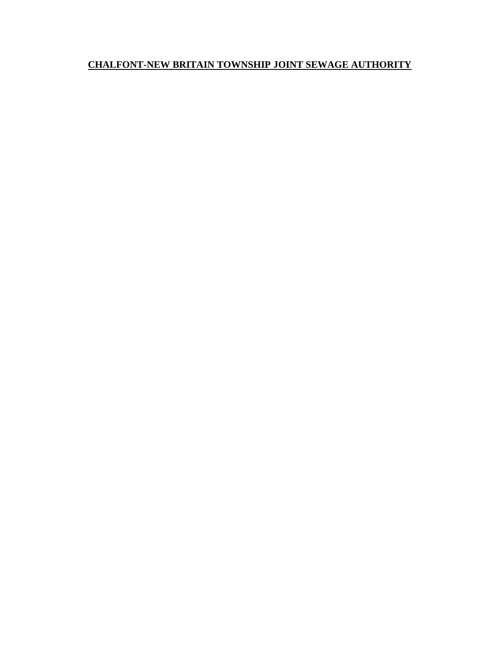# **CHALFONT-NEW BRITAIN TOWNSHIP JOINT SEWAGE AUTHORITY**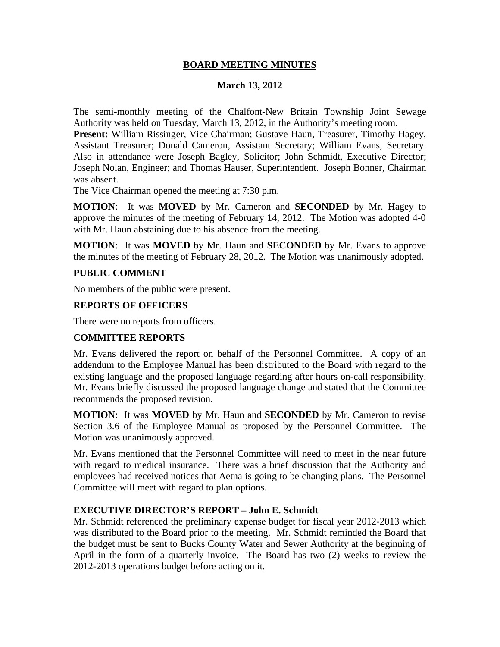### **BOARD MEETING MINUTES**

### **March 13, 2012**

The semi-monthly meeting of the Chalfont-New Britain Township Joint Sewage Authority was held on Tuesday, March 13, 2012, in the Authority's meeting room.

**Present:** William Rissinger, Vice Chairman; Gustave Haun, Treasurer, Timothy Hagey, Assistant Treasurer; Donald Cameron, Assistant Secretary; William Evans, Secretary. Also in attendance were Joseph Bagley, Solicitor; John Schmidt, Executive Director; Joseph Nolan, Engineer; and Thomas Hauser, Superintendent. Joseph Bonner, Chairman was absent.

The Vice Chairman opened the meeting at 7:30 p.m.

**MOTION**: It was **MOVED** by Mr. Cameron and **SECONDED** by Mr. Hagey to approve the minutes of the meeting of February 14, 2012. The Motion was adopted 4-0 with Mr. Haun abstaining due to his absence from the meeting.

**MOTION**: It was **MOVED** by Mr. Haun and **SECONDED** by Mr. Evans to approve the minutes of the meeting of February 28, 2012. The Motion was unanimously adopted.

#### **PUBLIC COMMENT**

No members of the public were present.

#### **REPORTS OF OFFICERS**

There were no reports from officers.

# **COMMITTEE REPORTS**

Mr. Evans delivered the report on behalf of the Personnel Committee. A copy of an addendum to the Employee Manual has been distributed to the Board with regard to the existing language and the proposed language regarding after hours on-call responsibility. Mr. Evans briefly discussed the proposed language change and stated that the Committee recommends the proposed revision.

**MOTION**: It was **MOVED** by Mr. Haun and **SECONDED** by Mr. Cameron to revise Section 3.6 of the Employee Manual as proposed by the Personnel Committee. The Motion was unanimously approved.

Mr. Evans mentioned that the Personnel Committee will need to meet in the near future with regard to medical insurance. There was a brief discussion that the Authority and employees had received notices that Aetna is going to be changing plans. The Personnel Committee will meet with regard to plan options.

#### **EXECUTIVE DIRECTOR'S REPORT – John E. Schmidt**

Mr. Schmidt referenced the preliminary expense budget for fiscal year 2012-2013 which was distributed to the Board prior to the meeting. Mr. Schmidt reminded the Board that the budget must be sent to Bucks County Water and Sewer Authority at the beginning of April in the form of a quarterly invoice. The Board has two (2) weeks to review the 2012-2013 operations budget before acting on it.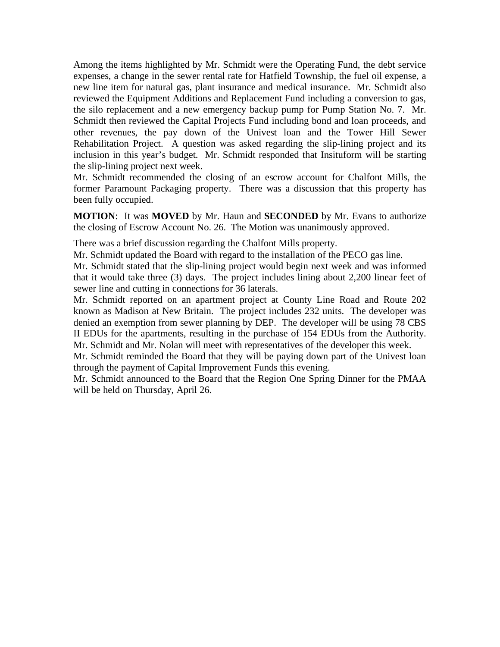Among the items highlighted by Mr. Schmidt were the Operating Fund, the debt service expenses, a change in the sewer rental rate for Hatfield Township, the fuel oil expense, a new line item for natural gas, plant insurance and medical insurance. Mr. Schmidt also reviewed the Equipment Additions and Replacement Fund including a conversion to gas, the silo replacement and a new emergency backup pump for Pump Station No. 7. Mr. Schmidt then reviewed the Capital Projects Fund including bond and loan proceeds, and other revenues, the pay down of the Univest loan and the Tower Hill Sewer Rehabilitation Project. A question was asked regarding the slip-lining project and its inclusion in this year's budget. Mr. Schmidt responded that Insituform will be starting the slip-lining project next week.

Mr. Schmidt recommended the closing of an escrow account for Chalfont Mills, the former Paramount Packaging property. There was a discussion that this property has been fully occupied.

**MOTION**: It was **MOVED** by Mr. Haun and **SECONDED** by Mr. Evans to authorize the closing of Escrow Account No. 26. The Motion was unanimously approved.

There was a brief discussion regarding the Chalfont Mills property.

Mr. Schmidt updated the Board with regard to the installation of the PECO gas line. Mr. Schmidt stated that the slip-lining project would begin next week and was informed that it would take three (3) days. The project includes lining about 2,200 linear feet of sewer line and cutting in connections for 36 laterals.

Mr. Schmidt reported on an apartment project at County Line Road and Route 202 known as Madison at New Britain. The project includes 232 units. The developer was denied an exemption from sewer planning by DEP. The developer will be using 78 CBS II EDUs for the apartments, resulting in the purchase of 154 EDUs from the Authority. Mr. Schmidt and Mr. Nolan will meet with representatives of the developer this week.

Mr. Schmidt reminded the Board that they will be paying down part of the Univest loan through the payment of Capital Improvement Funds this evening.

Mr. Schmidt announced to the Board that the Region One Spring Dinner for the PMAA will be held on Thursday, April 26.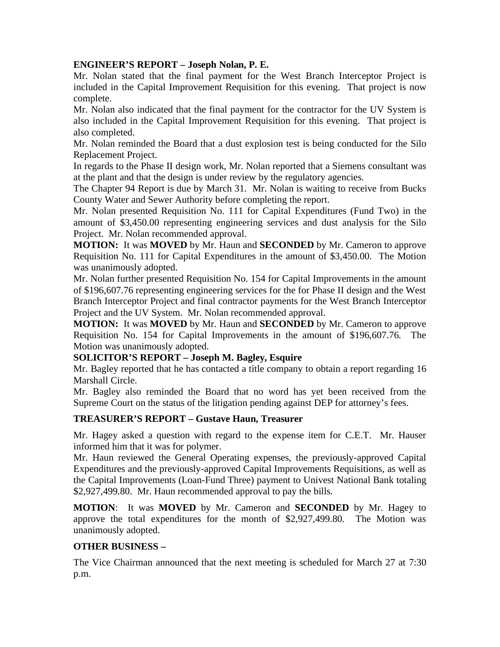# **ENGINEER'S REPORT – Joseph Nolan, P. E.**

Mr. Nolan stated that the final payment for the West Branch Interceptor Project is included in the Capital Improvement Requisition for this evening. That project is now complete.

Mr. Nolan also indicated that the final payment for the contractor for the UV System is also included in the Capital Improvement Requisition for this evening. That project is also completed.

Mr. Nolan reminded the Board that a dust explosion test is being conducted for the Silo Replacement Project.

In regards to the Phase II design work, Mr. Nolan reported that a Siemens consultant was at the plant and that the design is under review by the regulatory agencies.

The Chapter 94 Report is due by March 31. Mr. Nolan is waiting to receive from Bucks County Water and Sewer Authority before completing the report.

Mr. Nolan presented Requisition No. 111 for Capital Expenditures (Fund Two) in the amount of \$3,450.00 representing engineering services and dust analysis for the Silo Project. Mr. Nolan recommended approval.

**MOTION:** It was **MOVED** by Mr. Haun and **SECONDED** by Mr. Cameron to approve Requisition No. 111 for Capital Expenditures in the amount of \$3,450.00. The Motion was unanimously adopted.

Mr. Nolan further presented Requisition No. 154 for Capital Improvements in the amount of \$196,607.76 representing engineering services for the for Phase II design and the West Branch Interceptor Project and final contractor payments for the West Branch Interceptor Project and the UV System. Mr. Nolan recommended approval.

**MOTION:** It was **MOVED** by Mr. Haun and **SECONDED** by Mr. Cameron to approve Requisition No. 154 for Capital Improvements in the amount of \$196,607.76. The Motion was unanimously adopted.

# **SOLICITOR'S REPORT – Joseph M. Bagley, Esquire**

Mr. Bagley reported that he has contacted a title company to obtain a report regarding 16 Marshall Circle.

Mr. Bagley also reminded the Board that no word has yet been received from the Supreme Court on the status of the litigation pending against DEP for attorney's fees.

# **TREASURER'S REPORT – Gustave Haun, Treasurer**

Mr. Hagey asked a question with regard to the expense item for C.E.T. Mr. Hauser informed him that it was for polymer.

Mr. Haun reviewed the General Operating expenses, the previously-approved Capital Expenditures and the previously-approved Capital Improvements Requisitions, as well as the Capital Improvements (Loan-Fund Three) payment to Univest National Bank totaling \$2,927,499.80. Mr. Haun recommended approval to pay the bills.

**MOTION**: It was **MOVED** by Mr. Cameron and **SECONDED** by Mr. Hagey to approve the total expenditures for the month of \$2,927,499.80. The Motion was unanimously adopted.

# **OTHER BUSINESS –**

The Vice Chairman announced that the next meeting is scheduled for March 27 at 7:30 p.m.